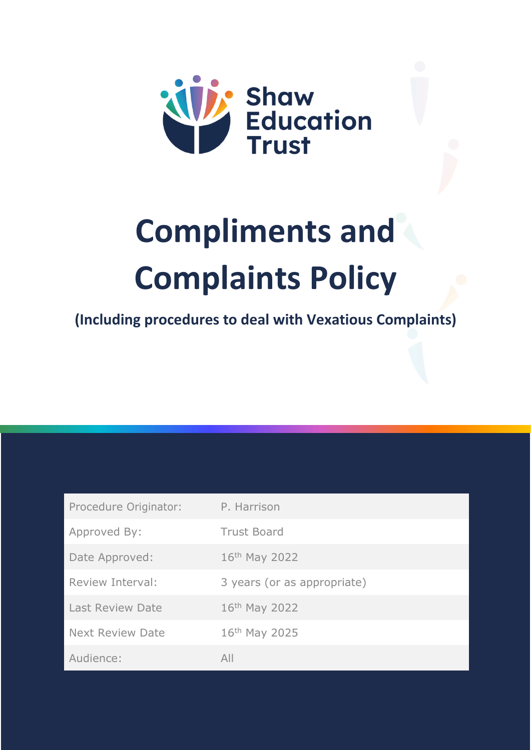

# **Compliments and Complaints Policy**

**(Including procedures to deal with Vexatious Complaints)**

| Procedure Originator:   | P. Harrison                 |
|-------------------------|-----------------------------|
| Approved By:            | <b>Trust Board</b>          |
| Date Approved:          | 16th May 2022               |
| Review Interval:        | 3 years (or as appropriate) |
| <b>Last Review Date</b> | 16th May 2022               |
| <b>Next Review Date</b> | 16th May 2025               |
| Audience:               | All                         |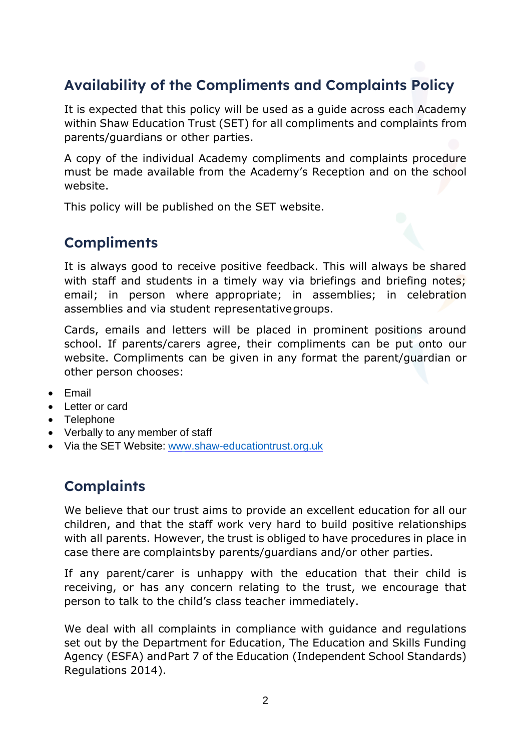# **Availability of the Compliments and Complaints Policy**

It is expected that this policy will be used as a guide across each Academy within Shaw Education Trust (SET) for all compliments and complaints from parents/guardians or other parties.

A copy of the individual Academy compliments and complaints procedure must be made available from the Academy's Reception and on the school website.

This policy will be published on the SET website.

#### **Compliments**

It is always good to receive positive feedback. This will always be shared with staff and students in a timely way via briefings and briefing notes; email; in person where appropriate; in assemblies; in celebration assemblies and via student representativegroups.

Cards, emails and letters will be placed in prominent positions around school. If parents/carers agree, their compliments can be put onto our website. Compliments can be given in any format the parent/guardian or other person chooses:

- Email
- Letter or card
- Telephone
- Verbally to any member of staff
- Via the SET Website: [www.shaw-educationtrust.org.uk](http://www.shaw-educationtrust.org.uk/)

#### **Complaints**

We believe that our trust aims to provide an excellent education for all our children, and that the staff work very hard to build positive relationships with all parents. However, the trust is obliged to have procedures in place in case there are complaintsby parents/guardians and/or other parties.

If any parent/carer is unhappy with the education that their child is receiving, or has any concern relating to the trust, we encourage that person to talk to the child's class teacher immediately.

We deal with all complaints in compliance with guidance and regulations set out by the Department for Education, The Education and Skills Funding Agency (ESFA) andPart 7 of the Education (Independent School Standards) Regulations 2014).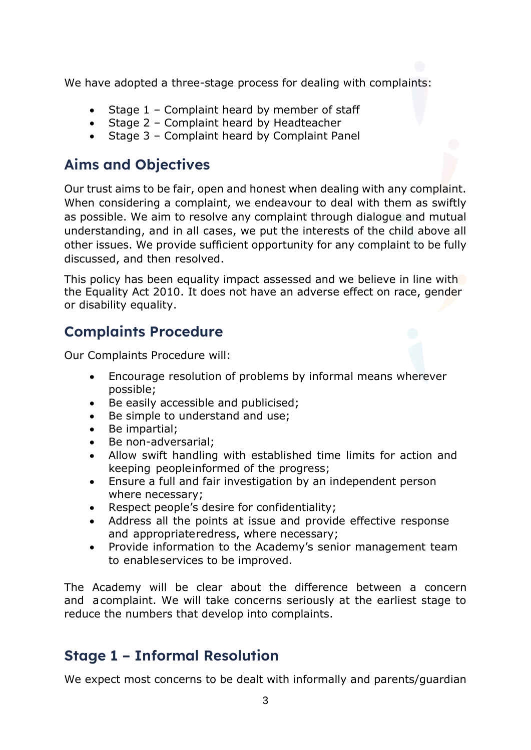We have adopted a three-stage process for dealing with complaints:

- Stage 1 Complaint heard by member of staff
- Stage 2 Complaint heard by Headteacher
- Stage 3 Complaint heard by Complaint Panel

#### **Aims and Objectives**

Our trust aims to be fair, open and honest when dealing with any complaint. When considering a complaint, we endeavour to deal with them as swiftly as possible. We aim to resolve any complaint through dialogue and mutual understanding, and in all cases, we put the interests of the child above all other issues. We provide sufficient opportunity for any complaint to be fully discussed, and then resolved.

This policy has been equality impact assessed and we believe in line with the Equality Act 2010. It does not have an adverse effect on race, gender or disability equality.

#### **Complaints Procedure**

Our Complaints Procedure will:

- Encourage resolution of problems by informal means wherever possible;
- Be easily accessible and publicised;
- Be simple to understand and use;
- Be impartial;
- Be non-adversarial;
- Allow swift handling with established time limits for action and keeping peopleinformed of the progress;
- Ensure a full and fair investigation by an independent person where necessary;
- Respect people's desire for confidentiality;
- Address all the points at issue and provide effective response and appropriateredress, where necessary;
- Provide information to the Academy's senior management team to enableservices to be improved.

The Academy will be clear about the difference between a concern and acomplaint. We will take concerns seriously at the earliest stage to reduce the numbers that develop into complaints.

#### **Stage 1 – Informal Resolution**

We expect most concerns to be dealt with informally and parents/guardian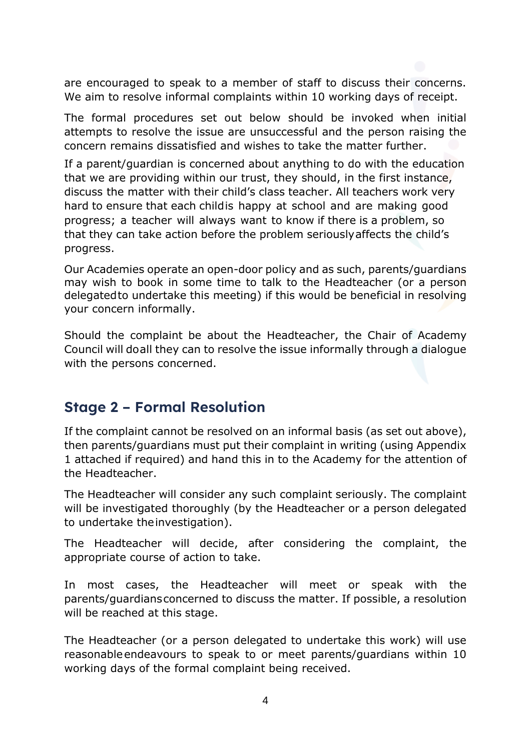are encouraged to speak to a member of staff to discuss their concerns. We aim to resolve informal complaints within 10 working days of receipt.

The formal procedures set out below should be invoked when initial attempts to resolve the issue are unsuccessful and the person raising the concern remains dissatisfied and wishes to take the matter further.

If a parent/guardian is concerned about anything to do with the education that we are providing within our trust, they should, in the first instance, discuss the matter with their child's class teacher. All teachers work very hard to ensure that each childis happy at school and are making good progress; a teacher will always want to know if there is a problem, so that they can take action before the problem seriouslyaffects the child's progress.

Our Academies operate an open-door policy and as such, parents/guardians may wish to book in some time to talk to the Headteacher (or a person delegatedto undertake this meeting) if this would be beneficial in resolving your concern informally.

Should the complaint be about the Headteacher, the Chair of Academy Council will doall they can to resolve the issue informally through a dialogue with the persons concerned.

#### **Stage 2 – Formal Resolution**

If the complaint cannot be resolved on an informal basis (as set out above), then parents/guardians must put their complaint in writing (using Appendix 1 attached if required) and hand this in to the Academy for the attention of the Headteacher.

The Headteacher will consider any such complaint seriously. The complaint will be investigated thoroughly (by the Headteacher or a person delegated to undertake theinvestigation).

The Headteacher will decide, after considering the complaint, the appropriate course of action to take.

In most cases, the Headteacher will meet or speak with the parents/guardiansconcerned to discuss the matter. If possible, a resolution will be reached at this stage.

The Headteacher (or a person delegated to undertake this work) will use reasonableendeavours to speak to or meet parents/guardians within 10 working days of the formal complaint being received.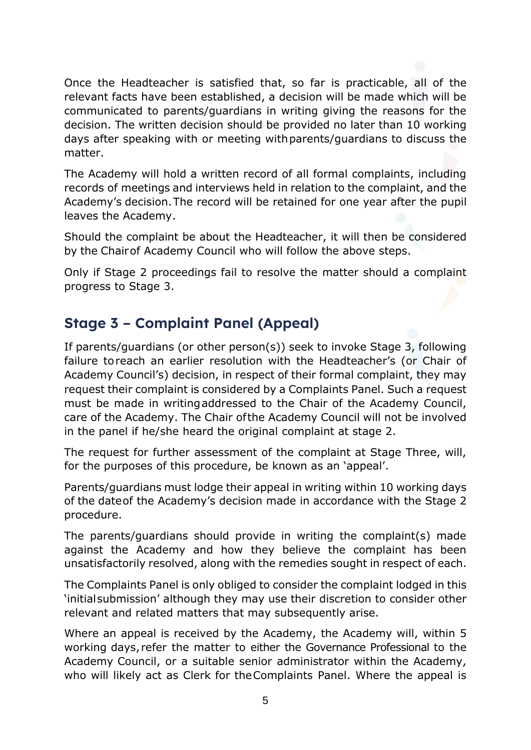Once the Headteacher is satisfied that, so far is practicable, all of the relevant facts have been established, a decision will be made which will be communicated to parents/guardians in writing giving the reasons for the decision. The written decision should be provided no later than 10 working days after speaking with or meeting withparents/guardians to discuss the matter.

The Academy will hold a written record of all formal complaints, including records of meetings and interviews held in relation to the complaint, and the Academy's decision.The record will be retained for one year after the pupil leaves the Academy.

Should the complaint be about the Headteacher, it will then be considered by the Chairof Academy Council who will follow the above steps.

Only if Stage 2 proceedings fail to resolve the matter should a complaint progress to Stage 3.

#### **Stage 3 – Complaint Panel (Appeal)**

If parents/guardians (or other person(s)) seek to invoke Stage 3, following failure toreach an earlier resolution with the Headteacher's (or Chair of Academy Council's) decision, in respect of their formal complaint, they may request their complaint is considered by a Complaints Panel. Such a request must be made in writingaddressed to the Chair of the Academy Council, care of the Academy. The Chair ofthe Academy Council will not be involved in the panel if he/she heard the original complaint at stage 2.

The request for further assessment of the complaint at Stage Three, will, for the purposes of this procedure, be known as an 'appeal'.

Parents/guardians must lodge their appeal in writing within 10 working days of the dateof the Academy's decision made in accordance with the Stage 2 procedure.

The parents/guardians should provide in writing the complaint(s) made against the Academy and how they believe the complaint has been unsatisfactorily resolved, along with the remedies sought in respect of each.

The Complaints Panel is only obliged to consider the complaint lodged in this 'initialsubmission' although they may use their discretion to consider other relevant and related matters that may subsequently arise.

Where an appeal is received by the Academy, the Academy will, within 5 working days, refer the matter to either the Governance Professional to the Academy Council, or a suitable senior administrator within the Academy, who will likely act as Clerk for theComplaints Panel. Where the appeal is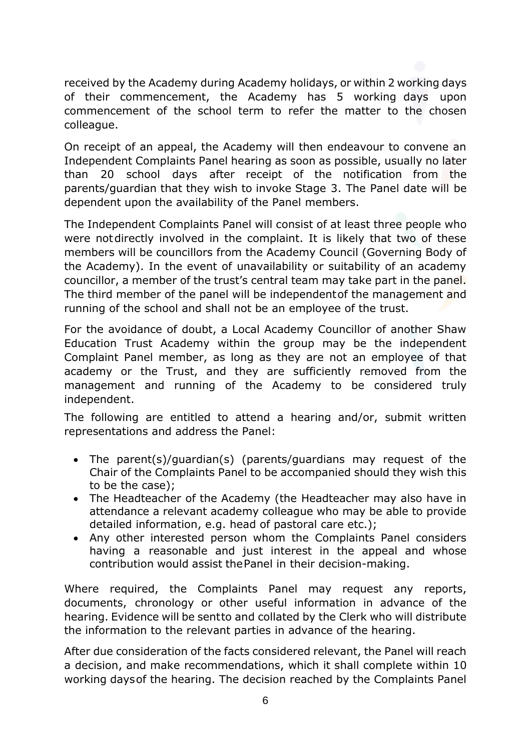received by the Academy during Academy holidays, or within 2 working days of their commencement, the Academy has 5 working days upon commencement of the school term to refer the matter to the chosen colleague.

On receipt of an appeal, the Academy will then endeavour to convene an Independent Complaints Panel hearing as soon as possible, usually no later than 20 school days after receipt of the notification from the parents/guardian that they wish to invoke Stage 3. The Panel date will be dependent upon the availability of the Panel members.

The Independent Complaints Panel will consist of at least three people who were notdirectly involved in the complaint. It is likely that two of these members will be councillors from the Academy Council (Governing Body of the Academy). In the event of unavailability or suitability of an academy councillor, a member of the trust's central team may take part in the panel. The third member of the panel will be independentof the management and running of the school and shall not be an employee of the trust.

For the avoidance of doubt, a Local Academy Councillor of another Shaw Education Trust Academy within the group may be the independent Complaint Panel member, as long as they are not an employee of that academy or the Trust, and they are sufficiently removed from the management and running of the Academy to be considered truly independent.

The following are entitled to attend a hearing and/or, submit written representations and address the Panel:

- The parent(s)/guardian(s) (parents/guardians may request of the Chair of the Complaints Panel to be accompanied should they wish this to be the case);
- The Headteacher of the Academy (the Headteacher may also have in attendance a relevant academy colleague who may be able to provide detailed information, e.g. head of pastoral care etc.);
- Any other interested person whom the Complaints Panel considers having a reasonable and just interest in the appeal and whose contribution would assist thePanel in their decision-making.

Where required, the Complaints Panel may request any reports, documents, chronology or other useful information in advance of the hearing. Evidence will be sentto and collated by the Clerk who will distribute the information to the relevant parties in advance of the hearing.

After due consideration of the facts considered relevant, the Panel will reach a decision, and make recommendations, which it shall complete within 10 working daysof the hearing. The decision reached by the Complaints Panel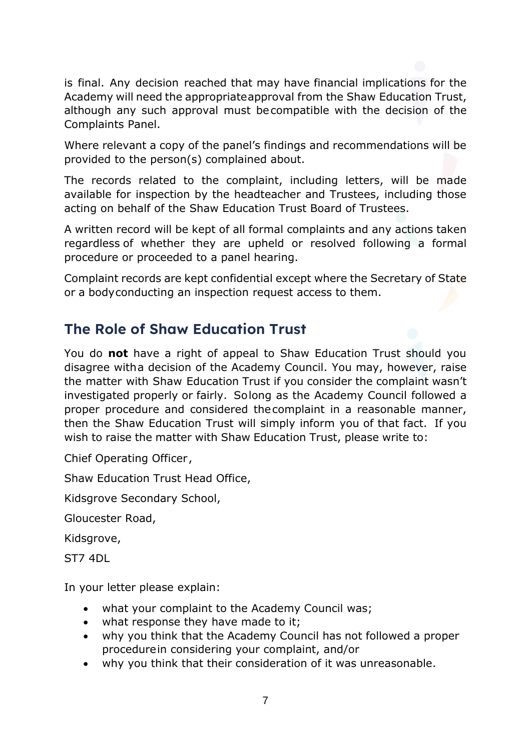is final. Any decision reached that may have financial implications for the Academy will need the appropriateapproval from the Shaw Education Trust, although any such approval must becompatible with the decision of the Complaints Panel.

Where relevant a copy of the panel's findings and recommendations will be provided to the person(s) complained about.

The records related to the complaint, including letters, will be made available for inspection by the headteacher and Trustees, including those acting on behalf of the Shaw Education Trust Board of Trustees.

A written record will be kept of all formal complaints and any actions taken regardless of whether they are upheld or resolved following a formal procedure or proceeded to a panel hearing.

Complaint records are kept confidential except where the Secretary of State or a bodyconducting an inspection request access to them.

#### **The Role of Shaw Education Trust**

You do **not** have a right of appeal to Shaw Education Trust should you disagree witha decision of the Academy Council. You may, however, raise the matter with Shaw Education Trust if you consider the complaint wasn't investigated properly or fairly. Solong as the Academy Council followed a proper procedure and considered thecomplaint in a reasonable manner, then the Shaw Education Trust will simply inform you of that fact. If you wish to raise the matter with Shaw Education Trust, please write to:

Chief Operating Officer,

Shaw Education Trust Head Office,

Kidsgrove Secondary School,

Gloucester Road,

Kidsgrove,

ST7 4DL

In your letter please explain:

- what your complaint to the Academy Council was;
- what response they have made to it;
- why you think that the Academy Council has not followed a proper procedurein considering your complaint, and/or
- why you think that their consideration of it was unreasonable.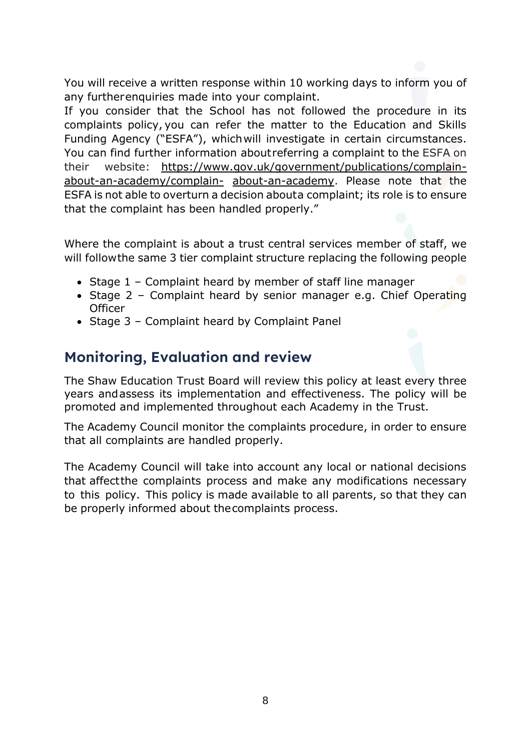You will receive a written response within 10 working days to inform you of any furtherenquiries made into your complaint.

If you consider that the School has not followed the procedure in its complaints policy, you can refer the matter to the Education and Skills Funding Agency ("ESFA"), whichwill investigate in certain circumstances. You can find further information aboutreferring a complaint to the ESFA on their website: [https://www.gov.uk/government/publications/complain](https://www.gov.uk/government/publications/complain-about-an-academy/complain-about-an-academy)[about-an-academy/complain-](https://www.gov.uk/government/publications/complain-about-an-academy/complain-about-an-academy) [about-an-academy.](https://www.gov.uk/government/publications/complain-about-an-academy/complain-about-an-academy) Please note that the ESFA is not able to overturn a decision abouta complaint; its role is to ensure that the complaint has been handled properly."

Where the complaint is about a trust central services member of staff, we will followthe same 3 tier complaint structure replacing the following people

- Stage 1 Complaint heard by member of staff line manager
- Stage 2 Complaint heard by senior manager e.g. Chief Operating **Officer**
- Stage 3 Complaint heard by Complaint Panel

#### **Monitoring, Evaluation and review**

The Shaw Education Trust Board will review this policy at least every three years andassess its implementation and effectiveness. The policy will be promoted and implemented throughout each Academy in the Trust.

The Academy Council monitor the complaints procedure, in order to ensure that all complaints are handled properly.

The Academy Council will take into account any local or national decisions that affectthe complaints process and make any modifications necessary to this policy. This policy is made available to all parents, so that they can be properly informed about thecomplaints process.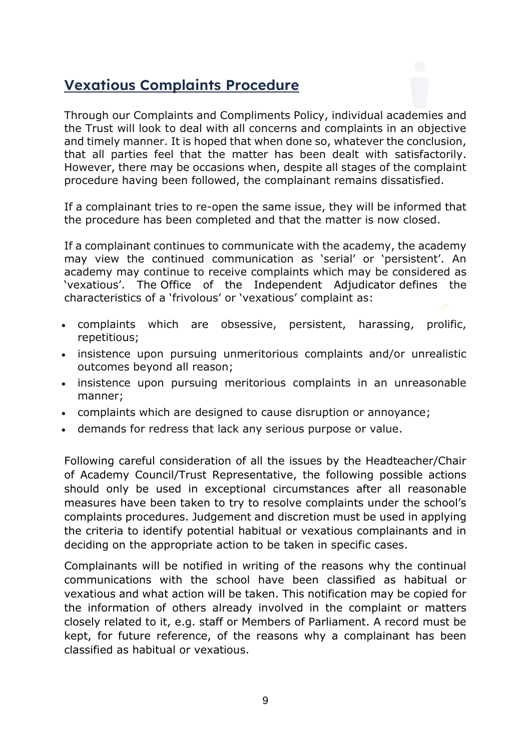#### **Vexatious Complaints Procedure**

Through our Complaints and Compliments Policy, individual academies and the Trust will look to deal with all concerns and complaints in an objective and timely manner. It is hoped that when done so, whatever the conclusion, that all parties feel that the matter has been dealt with satisfactorily. However, there may be occasions when, despite all stages of the complaint procedure having been followed, the complainant remains dissatisfied.

If a complainant tries to re-open the same issue, they will be informed that the procedure has been completed and that the matter is now closed.

If a complainant continues to communicate with the academy, the academy may view the continued communication as 'serial' or 'persistent'. An academy may continue to receive complaints which may be considered as 'vexatious'. The Office of the Independent Adjudicator defines the characteristics of a 'frivolous' or 'vexatious' complaint as:

- complaints which are obsessive, persistent, harassing, prolific, repetitious;
- insistence upon pursuing unmeritorious complaints and/or unrealistic outcomes beyond all reason;
- insistence upon pursuing meritorious complaints in an unreasonable manner;
- complaints which are designed to cause disruption or annoyance;
- demands for redress that lack any serious purpose or value.

Following careful consideration of all the issues by the Headteacher/Chair of Academy Council/Trust Representative, the following possible actions should only be used in exceptional circumstances after all reasonable measures have been taken to try to resolve complaints under the school's complaints procedures. Judgement and discretion must be used in applying the criteria to identify potential habitual or vexatious complainants and in deciding on the appropriate action to be taken in specific cases.

Complainants will be notified in writing of the reasons why the continual communications with the school have been classified as habitual or vexatious and what action will be taken. This notification may be copied for the information of others already involved in the complaint or matters closely related to it, e.g. staff or Members of Parliament. A record must be kept, for future reference, of the reasons why a complainant has been classified as habitual or vexatious.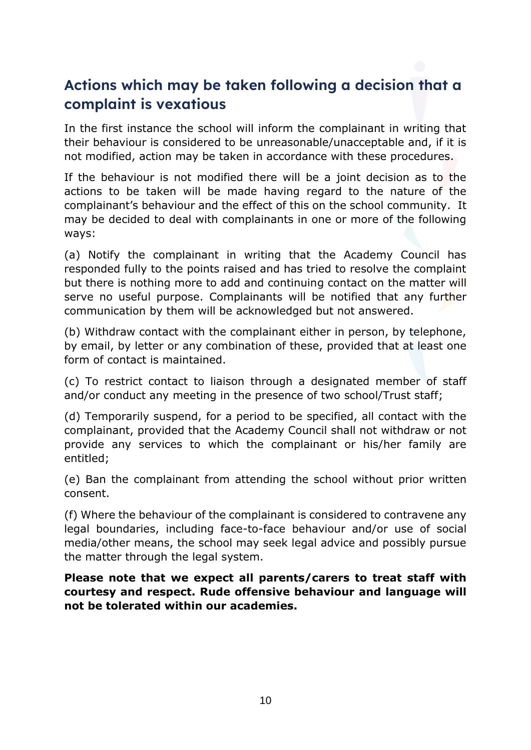# **Actions which may be taken following a decision that a complaint is vexatious**

In the first instance the school will inform the complainant in writing that their behaviour is considered to be unreasonable/unacceptable and, if it is not modified, action may be taken in accordance with these procedures.

If the behaviour is not modified there will be a joint decision as to the actions to be taken will be made having regard to the nature of the complainant's behaviour and the effect of this on the school community. It may be decided to deal with complainants in one or more of the following ways:

(a) Notify the complainant in writing that the Academy Council has responded fully to the points raised and has tried to resolve the complaint but there is nothing more to add and continuing contact on the matter will serve no useful purpose. Complainants will be notified that any further communication by them will be acknowledged but not answered.

(b) Withdraw contact with the complainant either in person, by telephone, by email, by letter or any combination of these, provided that at least one form of contact is maintained.

(c) To restrict contact to liaison through a designated member of staff and/or conduct any meeting in the presence of two school/Trust staff;

(d) Temporarily suspend, for a period to be specified, all contact with the complainant, provided that the Academy Council shall not withdraw or not provide any services to which the complainant or his/her family are entitled;

(e) Ban the complainant from attending the school without prior written consent.

(f) Where the behaviour of the complainant is considered to contravene any legal boundaries, including face-to-face behaviour and/or use of social media/other means, the school may seek legal advice and possibly pursue the matter through the legal system.

**Please note that we expect all parents/carers to treat staff with courtesy and respect. Rude offensive behaviour and language will not be tolerated within our academies.**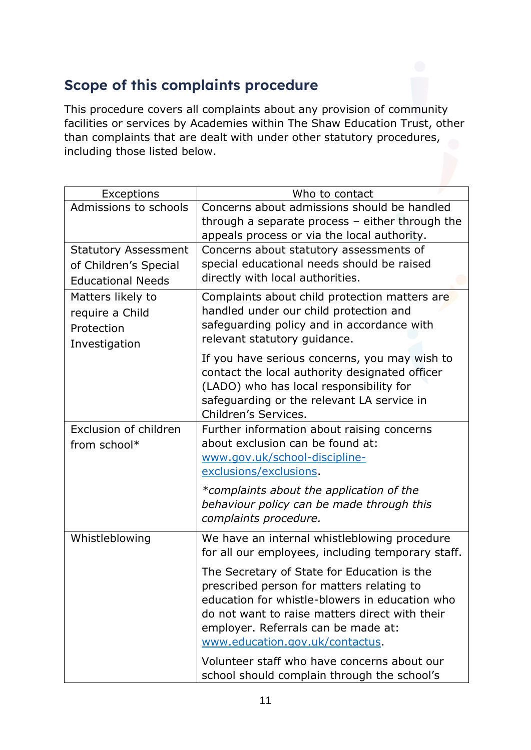## **Scope of this complaints procedure**

This procedure covers all complaints about any provision of community facilities or services by Academies within The Shaw Education Trust, other than complaints that are dealt with under other statutory procedures, including those listed below.

| Exceptions                                                                       | Who to contact                                                                                                                                                                                                                                                         |
|----------------------------------------------------------------------------------|------------------------------------------------------------------------------------------------------------------------------------------------------------------------------------------------------------------------------------------------------------------------|
| Admissions to schools                                                            | Concerns about admissions should be handled<br>through a separate process $-$ either through the<br>appeals process or via the local authority.                                                                                                                        |
| <b>Statutory Assessment</b><br>of Children's Special<br><b>Educational Needs</b> | Concerns about statutory assessments of<br>special educational needs should be raised<br>directly with local authorities.                                                                                                                                              |
| Matters likely to<br>require a Child<br>Protection<br>Investigation              | Complaints about child protection matters are<br>handled under our child protection and<br>safeguarding policy and in accordance with<br>relevant statutory guidance.                                                                                                  |
|                                                                                  | If you have serious concerns, you may wish to<br>contact the local authority designated officer<br>(LADO) who has local responsibility for<br>safeguarding or the relevant LA service in<br>Children's Services.                                                       |
| Exclusion of children<br>from school*                                            | Further information about raising concerns<br>about exclusion can be found at:<br>www.gov.uk/school-discipline-<br>exclusions/exclusions.                                                                                                                              |
|                                                                                  | *complaints about the application of the<br>behaviour policy can be made through this<br>complaints procedure.                                                                                                                                                         |
| Whistleblowing                                                                   | We have an internal whistleblowing procedure<br>for all our employees, including temporary staff.                                                                                                                                                                      |
|                                                                                  | The Secretary of State for Education is the<br>prescribed person for matters relating to<br>education for whistle-blowers in education who<br>do not want to raise matters direct with their<br>employer. Referrals can be made at:<br>www.education.gov.uk/contactus. |
|                                                                                  | Volunteer staff who have concerns about our<br>school should complain through the school's                                                                                                                                                                             |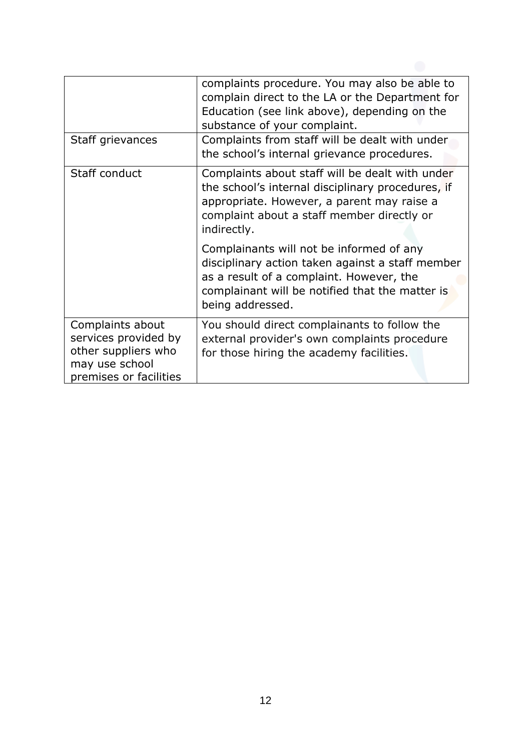|                                                                                                             | complaints procedure. You may also be able to<br>complain direct to the LA or the Department for<br>Education (see link above), depending on the<br>substance of your complaint.                                |
|-------------------------------------------------------------------------------------------------------------|-----------------------------------------------------------------------------------------------------------------------------------------------------------------------------------------------------------------|
| Staff grievances                                                                                            | Complaints from staff will be dealt with under<br>the school's internal grievance procedures.                                                                                                                   |
| Staff conduct                                                                                               | Complaints about staff will be dealt with under<br>the school's internal disciplinary procedures, if<br>appropriate. However, a parent may raise a<br>complaint about a staff member directly or<br>indirectly. |
|                                                                                                             | Complainants will not be informed of any<br>disciplinary action taken against a staff member<br>as a result of a complaint. However, the<br>complainant will be notified that the matter is<br>being addressed. |
| Complaints about<br>services provided by<br>other suppliers who<br>may use school<br>premises or facilities | You should direct complainants to follow the<br>external provider's own complaints procedure<br>for those hiring the academy facilities.                                                                        |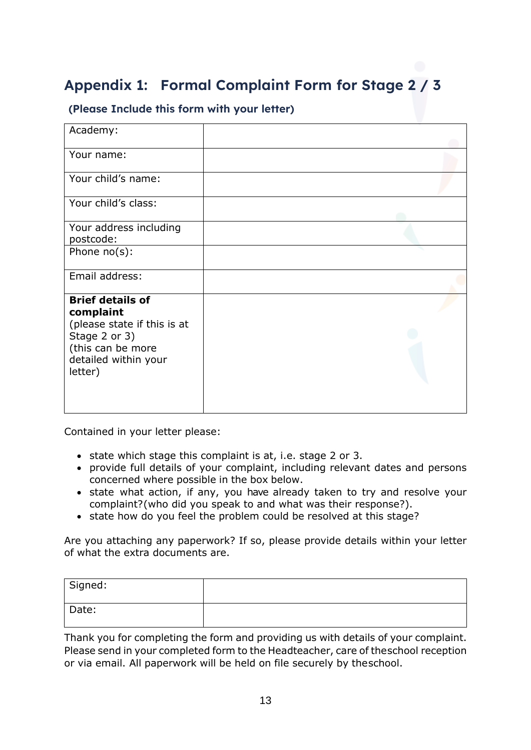# **Appendix 1: Formal Complaint Form for Stage 2 / 3**

#### **(Please Include this form with your letter)**

| Academy:                                                                                                                                     |  |
|----------------------------------------------------------------------------------------------------------------------------------------------|--|
| Your name:                                                                                                                                   |  |
| Your child's name:                                                                                                                           |  |
| Your child's class:                                                                                                                          |  |
| Your address including<br>postcode:                                                                                                          |  |
| Phone $no(s)$ :                                                                                                                              |  |
| Email address:                                                                                                                               |  |
| <b>Brief details of</b><br>complaint<br>(please state if this is at<br>Stage 2 or 3)<br>(this can be more<br>detailed within your<br>letter) |  |

Contained in your letter please:

- state which stage this complaint is at, i.e. stage 2 or 3.
- provide full details of your complaint, including relevant dates and persons concerned where possible in the box below.
- state what action, if any, you have already taken to try and resolve your complaint?(who did you speak to and what was their response?).
- state how do you feel the problem could be resolved at this stage?

Are you attaching any paperwork? If so, please provide details within your letter of what the extra documents are.

| Signed: |  |
|---------|--|
| Date:   |  |

Thank you for completing the form and providing us with details of your complaint. Please send in your completed form to the Headteacher, care of theschool reception or via email. All paperwork will be held on file securely by theschool.